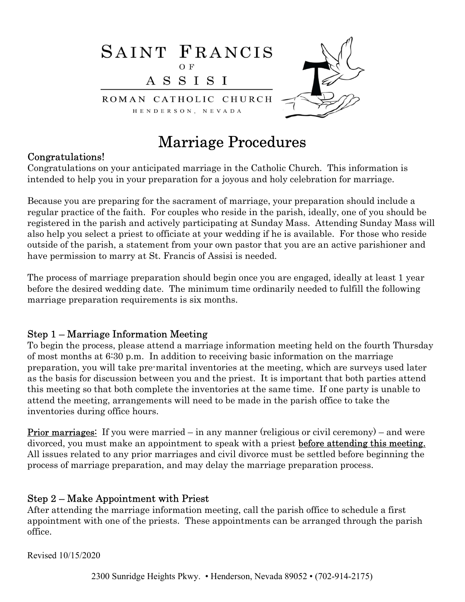

# Marriage Procedures

#### Congratulations!

Congratulations on your anticipated marriage in the Catholic Church. This information is intended to help you in your preparation for a joyous and holy celebration for marriage.

Because you are preparing for the sacrament of marriage, your preparation should include a regular practice of the faith. For couples who reside in the parish, ideally, one of you should be registered in the parish and actively participating at Sunday Mass. Attending Sunday Mass will also help you select a priest to officiate at your wedding if he is available. For those who reside outside of the parish, a statement from your own pastor that you are an active parishioner and have permission to marry at St. Francis of Assisi is needed.

The process of marriage preparation should begin once you are engaged, ideally at least 1 year before the desired wedding date. The minimum time ordinarily needed to fulfill the following marriage preparation requirements is six months.

#### Step 1 – Marriage Information Meeting

To begin the process, please attend a marriage information meeting held on the fourth Thursday of most months at 6:30 p.m. In addition to receiving basic information on the marriage preparation, you will take pre-marital inventories at the meeting, which are surveys used later as the basis for discussion between you and the priest. It is important that both parties attend this meeting so that both complete the inventories at the same time. If one party is unable to attend the meeting, arrangements will need to be made in the parish office to take the inventories during office hours.

**Prior marriages:** If you were married – in any manner (religious or civil ceremony) – and were divorced, you must make an appointment to speak with a priest **before attending this meeting.** All issues related to any prior marriages and civil divorce must be settled before beginning the process of marriage preparation, and may delay the marriage preparation process.

#### Step 2 – Make Appointment with Priest

After attending the marriage information meeting, call the parish office to schedule a first appointment with one of the priests. These appointments can be arranged through the parish office.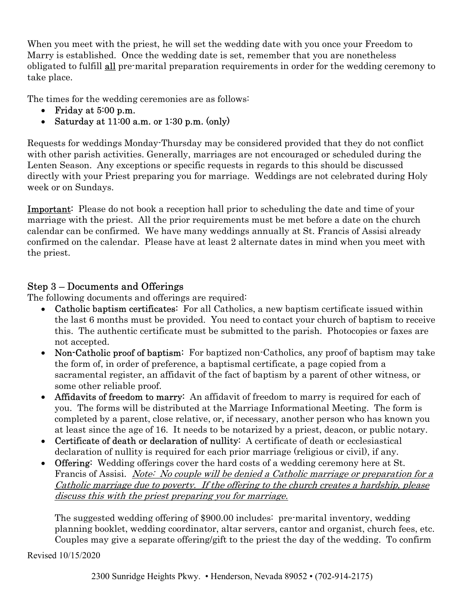When you meet with the priest, he will set the wedding date with you once your Freedom to Marry is established. Once the wedding date is set, remember that you are nonetheless obligated to fulfill all pre-marital preparation requirements in order for the wedding ceremony to take place.

The times for the wedding ceremonies are as follows:

- Friday at 5:00 p.m.
- Saturday at  $11:00$  a.m. or  $1:30$  p.m. (only)

Requests for weddings Monday-Thursday may be considered provided that they do not conflict with other parish activities. Generally, marriages are not encouraged or scheduled during the Lenten Season. Any exceptions or specific requests in regards to this should be discussed directly with your Priest preparing you for marriage. Weddings are not celebrated during Holy week or on Sundays.

Important: Please do not book a reception hall prior to scheduling the date and time of your marriage with the priest. All the prior requirements must be met before a date on the church calendar can be confirmed. We have many weddings annually at St. Francis of Assisi already confirmed on the calendar. Please have at least 2 alternate dates in mind when you meet with the priest.

### Step 3 – Documents and Offerings

The following documents and offerings are required:

- Catholic baptism certificates: For all Catholics, a new baptism certificate issued within the last 6 months must be provided. You need to contact your church of baptism to receive this. The authentic certificate must be submitted to the parish. Photocopies or faxes are not accepted.
- Non-Catholic proof of baptism: For baptized non-Catholics, any proof of baptism may take the form of, in order of preference, a baptismal certificate, a page copied from a sacramental register, an affidavit of the fact of baptism by a parent of other witness, or some other reliable proof.
- Affidavits of freedom to marry: An affidavit of freedom to marry is required for each of you. The forms will be distributed at the Marriage Informational Meeting. The form is completed by a parent, close relative, or, if necessary, another person who has known you at least since the age of 16. It needs to be notarized by a priest, deacon, or public notary.
- Certificate of death or declaration of nullity: A certificate of death or ecclesiastical declaration of nullity is required for each prior marriage (religious or civil), if any.
- Offering: Wedding offerings cover the hard costs of a wedding ceremony here at St. Francis of Assisi. Note: No couple will be denied a Catholic marriage or preparation for a Catholic marriage due to poverty. If the offering to the church creates a hardship, please discuss this with the priest preparing you for marriage.

The suggested wedding offering of \$900.00 includes: pre-marital inventory, wedding planning booklet, wedding coordinator, altar servers, cantor and organist, church fees, etc. Couples may give a separate offering/gift to the priest the day of the wedding. To confirm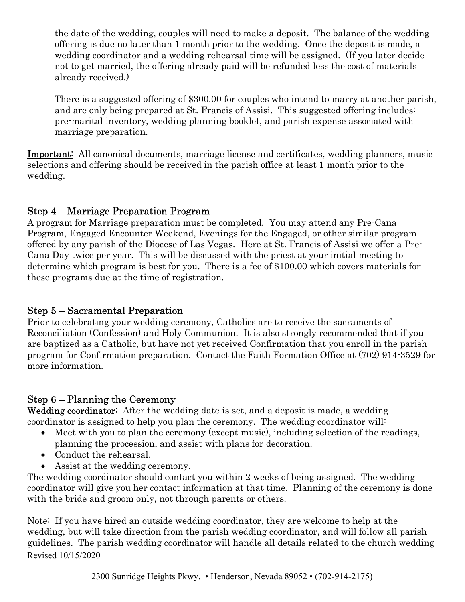the date of the wedding, couples will need to make a deposit. The balance of the wedding offering is due no later than 1 month prior to the wedding. Once the deposit is made, a wedding coordinator and a wedding rehearsal time will be assigned. (If you later decide not to get married, the offering already paid will be refunded less the cost of materials already received.)

There is a suggested offering of \$300.00 for couples who intend to marry at another parish, and are only being prepared at St. Francis of Assisi. This suggested offering includes: pre-marital inventory, wedding planning booklet, and parish expense associated with marriage preparation.

Important: All canonical documents, marriage license and certificates, wedding planners, music selections and offering should be received in the parish office at least 1 month prior to the wedding.

# Step 4 – Marriage Preparation Program

A program for Marriage preparation must be completed. You may attend any Pre-Cana Program, Engaged Encounter Weekend, Evenings for the Engaged, or other similar program offered by any parish of the Diocese of Las Vegas. Here at St. Francis of Assisi we offer a Pre-Cana Day twice per year. This will be discussed with the priest at your initial meeting to determine which program is best for you. There is a fee of \$100.00 which covers materials for these programs due at the time of registration.

#### Step 5 – Sacramental Preparation

Prior to celebrating your wedding ceremony, Catholics are to receive the sacraments of Reconciliation (Confession) and Holy Communion. It is also strongly recommended that if you are baptized as a Catholic, but have not yet received Confirmation that you enroll in the parish program for Confirmation preparation. Contact the Faith Formation Office at (702) 914-3529 for more information.

# Step 6 – Planning the Ceremony

Wedding coordinator: After the wedding date is set, and a deposit is made, a wedding coordinator is assigned to help you plan the ceremony. The wedding coordinator will:

- Meet with you to plan the ceremony (except music), including selection of the readings, planning the procession, and assist with plans for decoration.
- Conduct the rehearsal.
- Assist at the wedding ceremony.

The wedding coordinator should contact you within 2 weeks of being assigned. The wedding coordinator will give you her contact information at that time. Planning of the ceremony is done with the bride and groom only, not through parents or others.

Revised 10/15/2020 Note: If you have hired an outside wedding coordinator, they are welcome to help at the wedding, but will take direction from the parish wedding coordinator, and will follow all parish guidelines. The parish wedding coordinator will handle all details related to the church wedding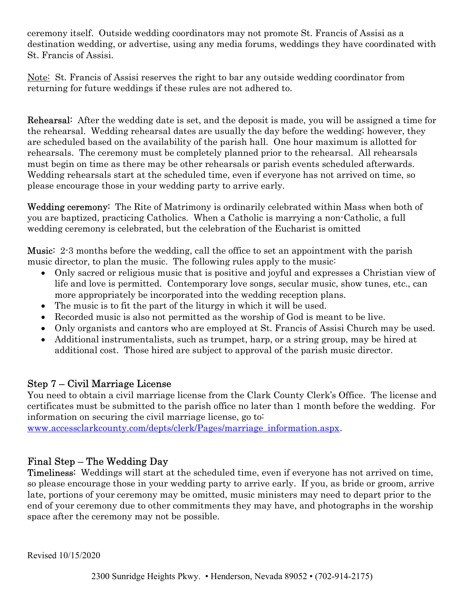ceremony itself. Outside wedding coordinators may not promote St. Francis of Assisi as a destination wedding, or advertise, using any media forums, weddings they have coordinated with St. Francis of Assisi.

Note: St. Francis of Assisi reserves the right to bar any outside wedding coordinator from returning for future weddings if these rules are not adhered to.

Rehearsal: After the wedding date is set, and the deposit is made, you will be assigned a time for the rehearsal. Wedding rehearsal dates are usually the day before the wedding; however, they are scheduled based on the availability of the parish hall. One hour maximum is allotted for rehearsals. The ceremony must be completely planned prior to the rehearsal. All rehearsals must begin on time as there may be other rehearsals or parish events scheduled afterwards. Wedding rehearsals start at the scheduled time, even if everyone has not arrived on time, so please encourage those in your wedding party to arrive early.

Wedding ceremony: The Rite of Matrimony is ordinarily celebrated within Mass when both of you are baptized, practicing Catholics. When a Catholic is marrying a non-Catholic, a full wedding ceremony is celebrated, but the celebration of the Eucharist is omitted

Music: 2-3 months before the wedding, call the office to set an appointment with the parish music director, to plan the music. The following rules apply to the music:

- Only sacred or religious music that is positive and joyful and expresses a Christian view of life and love is permitted. Contemporary love songs, secular music, show tunes, etc., can more appropriately be incorporated into the wedding reception plans.
- The music is to fit the part of the liturgy in which it will be used.
- Recorded music is also not permitted as the worship of God is meant to be live.
- Only organists and cantors who are employed at St. Francis of Assisi Church may be used.
- Additional instrumentalists, such as trumpet, harp, or a string group, may be hired at additional cost. Those hired are subject to approval of the parish music director.

# Step 7 – Civil Marriage License

You need to obtain a civil marriage license from the Clark County Clerk's Office. The license and certificates must be submitted to the parish office no later than 1 month before the wedding. For information on securing the civil marriage license, go to:

www.accessclarkcounty.com/depts/clerk/Pages/marriage\_information.aspx.

# Final Step – The Wedding Day

Timeliness: Weddings will start at the scheduled time, even if everyone has not arrived on time, so please encourage those in your wedding party to arrive early. If you, as bride or groom, arrive late, portions of your ceremony may be omitted, music ministers may need to depart prior to the end of your ceremony due to other commitments they may have, and photographs in the worship space after the ceremony may not be possible.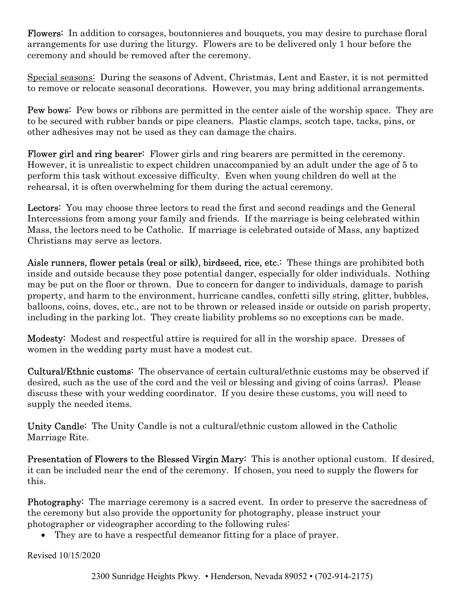Flowers: In addition to corsages, boutonnieres and bouquets, you may desire to purchase floral arrangements for use during the liturgy. Flowers are to be delivered only 1 hour before the ceremony and should be removed after the ceremony.

Special seasons: During the seasons of Advent, Christmas, Lent and Easter, it is not permitted to remove or relocate seasonal decorations. However, you may bring additional arrangements.

Pew bows: Pew bows or ribbons are permitted in the center aisle of the worship space. They are to be secured with rubber bands or pipe cleaners. Plastic clamps, scotch tape, tacks, pins, or other adhesives may not be used as they can damage the chairs.

Flower girl and ring bearer: Flower girls and ring bearers are permitted in the ceremony. However, it is unrealistic to expect children unaccompanied by an adult under the age of 5 to perform this task without excessive difficulty. Even when young children do well at the rehearsal, it is often overwhelming for them during the actual ceremony.

Lectors: You may choose three lectors to read the first and second readings and the General Intercessions from among your family and friends. If the marriage is being celebrated within Mass, the lectors need to be Catholic. If marriage is celebrated outside of Mass, any baptized Christians may serve as lectors.

Aisle runners, flower petals (real or silk), birdseed, rice, etc.: These things are prohibited both inside and outside because they pose potential danger, especially for older individuals. Nothing may be put on the floor or thrown. Due to concern for danger to individuals, damage to parish property, and harm to the environment, hurricane candles, confetti silly string, glitter, bubbles, balloons, coins, doves, etc., are not to be thrown or released inside or outside on parish property, including in the parking lot. They create liability problems so no exceptions can be made.

Modesty: Modest and respectful attire is required for all in the worship space. Dresses of women in the wedding party must have a modest cut.

Cultural/Ethnic customs: The observance of certain cultural/ethnic customs may be observed if desired, such as the use of the cord and the veil or blessing and giving of coins (arras). Please discuss these with your wedding coordinator. If you desire these customs, you will need to supply the needed items.

Unity Candle: The Unity Candle is not a cultural/ethnic custom allowed in the Catholic Marriage Rite.

Presentation of Flowers to the Blessed Virgin Mary: This is another optional custom. If desired, it can be included near the end of the ceremony. If chosen, you need to supply the flowers for this.

Photography: The marriage ceremony is a sacred event. In order to preserve the sacredness of the ceremony but also provide the opportunity for photography, please instruct your photographer or videographer according to the following rules:

They are to have a respectful demeanor fitting for a place of prayer.